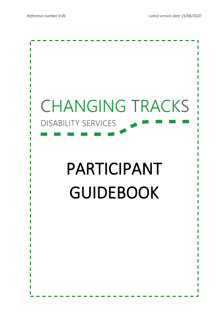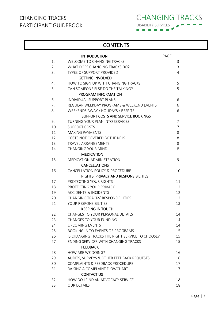# CHANGING TRACKS PARTICIPANT GUIDEBOOK



# **CONTENTS**

|     | <b>INTRODUCTION</b>                             | PAGE |                |
|-----|-------------------------------------------------|------|----------------|
| 1.  | <b>WELCOME TO CHANGING TRACKS</b>               |      | 3              |
| 2.  | WHAT DOES CHANGING TRACKS DO?                   |      | 3              |
| 3.  | <b>TYPES OF SUPPORT PROVIDED</b>                |      | 4              |
|     | <b>GETTING INVOLVED</b>                         |      |                |
| 4.  | HOW TO SIGN UP WITH CHANGING TRACKS             |      | 5              |
| 5.  | CAN SOMEONE ELSE DO THE TALKING?                |      | 5              |
|     | PROGRAM INFORMATION                             |      |                |
| 6.  | INDIVIDUAL SUPPORT PLANS                        |      | 6              |
| 7.  | REGULAR WEEKDAY PROGRAMS & WEEKEND EVENTS       |      | 6              |
| 8.  | WEEKENDS AWAY / HOLIDAYS / RESPITE              |      | 6              |
|     | SUPPORT COSTS AND SERVICE BOOKINGS              |      |                |
| 9.  | <b>TURNING YOUR PLAN INTO SERVICES</b>          |      | 7              |
| 10. | <b>SUPPORT COSTS</b>                            |      | $\overline{7}$ |
| 11. | <b>MAKING PAYMENTS</b>                          |      | 8              |
| 12. | COSTS NOT COVERED BY THE NDIS                   |      | 8              |
| 13. | <b>TRAVEL ARRANGEMENTS</b>                      |      | 8              |
| 14. | <b>CHANGING YOUR MIND</b>                       |      | 8              |
|     | <b>MEDICATION</b>                               |      |                |
| 15. | MEDICATION ADMINISTRATION                       |      | 9              |
|     | <b>CANCELLATIONS</b>                            |      |                |
| 16. | CANCELLATION POLICY & PROCEDURE                 |      | 10             |
|     | RIGHTS, PRIVACY AND RESPONSIBILITIES            |      |                |
| 17. | PROTECTING YOUR RIGHTS                          |      | 11             |
| 18. | PROTECTING YOUR PRIVACY                         |      | 12             |
| 19. | <b>ACCIDENTS &amp; INCIDENTS</b>                |      | 12             |
| 20. | <b>CHANGING TRACKS' RESPONSIBILITIES</b>        |      | 12             |
| 21. | YOUR RESPONSIBILITIES                           |      | 13             |
|     | <b>KEEPING IN TOUCH</b>                         |      |                |
| 22. | CHANGES TO YOUR PERSONAL DETAILS                |      | 14             |
| 23. | <b>CHANGES TO YOUR FUNDING</b>                  |      | 14             |
| 24. | <b>UPCOMING EVENTS</b>                          |      | 14             |
| 25. | <b>BOOKING IN TO EVENTS OR PROGRAMS</b>         |      | 15             |
| 26. | IS CHANGING TRACKS THE RIGHT SERVICE TO CHOOSE? |      | 15             |
| 27. | ENDING SERVICES WITH CHANGING TRACKS            |      | 15             |
|     | <b>FEEDBACK</b>                                 |      |                |
| 28. | HOW ARE WE DOING?                               |      | 16             |
| 29. | AUDITS, SURVEYS & OTHER FEEDBACK REQUESTS       |      | 16             |
| 30. | COMPLAINTS & FEEDBACK PROCEDURE                 |      | 17             |
| 31. | RAISING A COMPLAINT FLOWCHART                   |      | 17             |
|     | <b>CONTACT US</b>                               |      |                |
| 32. | HOW DO I FIND AN ADVOCACY SERVICE               |      | 18             |
| 33. | <b>OUR DETAILS</b>                              |      | 18             |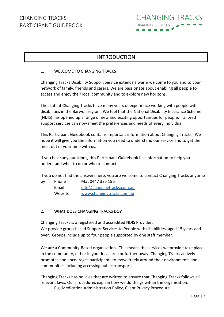

# INTRODUCTION

#### 1. WELCOME TO CHANGING TRACKS

Changing Tracks Disability Support Service extends a warm welcome to you and to your network of family, friends and carers. We are passionate about enabling all people to access and enjoy their local community and to explore new horizons.

The staff at Changing Tracks have many years of experience working with people with disabilities in the Barwon region. We feel that the National Disability Insurance Scheme (NDIS) has opened up a range of new and exciting opportunities for people. Tailored support services can now meet the preferences and needs of every individual.

This Participant Guidebook contains important information about Changing Tracks. We hope it will give you the information you need to understand our service and to get the most out of your time with us.

If you have any questions, this Participant Guidebook has information to help you understand what to do or who to contact.

If you do not find the answers here, you are welcome to contact Changing Tracks anytime

| by | Phone   | Mat 0447 325 196           |
|----|---------|----------------------------|
|    | Email   | info@changingtracks.com.au |
|    | Website | www.changingtracks.com.au  |

## 2. WHAT DOES CHANGING TRACKS DO?

Changing Tracks is a registered and accredited NDIS Provider.

We provide group-based Support Services to People with disabilities, aged 15 years and over. Groups include up to four people supported by one staff member.

We are a Community-Based organisation. This means the services we provide take place in the community, either in your local area or further away. Changing Tracks actively promotes and encourages participants to move freely around their environments and communities including accessing public transport.

Changing Tracks has policies that are written to ensure that Changing Tracks follows all relevant laws. Our procedures explain how we do things within the organisation.

E.g. Medication Administration Policy, Client Privacy Procedure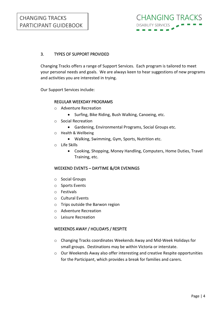# 3. TYPES OF SUPPORT PROVIDED

Changing Tracks offers a range of Support Services. Each program is tailored to meet your personal needs and goals. We are always keen to hear suggestions of new programs and activities you are interested in trying.

Our Support Services include:

#### REGULAR WEEKDAY PROGRAMS

- o Adventure Recreation
	- Surfing, Bike Riding, Bush Walking, Canoeing, etc.
- o Social Recreation
	- Gardening, Environmental Programs, Social Groups etc.
- o Health & Wellbeing
	- Walking, Swimming, Gym, Sports, Nutrition etc.
- o Life Skills
	- Cooking, Shopping, Money Handling, Computers, Home Duties, Travel Training, etc.

#### WEEKEND EVENTS – DAYTIME &/OR EVENINGS

- o Social Groups
- o Sports Events
- o Festivals
- o Cultural Events
- o Trips outside the Barwon region
- o Adventure Recreation
- o Leisure Recreation

#### WEEKENDS AWAY / HOLIDAYS / RESPITE

- o Changing Tracks coordinates Weekends Away and Mid-Week Holidays for small groups. Destinations may be within Victoria or interstate.
- o Our Weekends Away also offer interesting and creative Respite opportunities for the Participant, which provides a break for families and carers.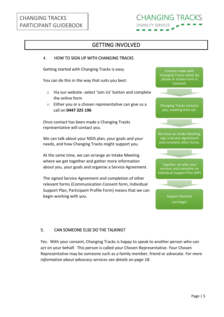# CHANGING TRACKS PARTICIPANT GUIDEBOOK

# **CHANGING TRACKS DISABILITY SERVICES**

# GETTING INVOLVED

#### 4. HOW TO SIGN UP WITH CHANGING TRACKS

Getting started with Changing Tracks is easy.

You can do this in the way that suits you best:

- o Via our website -select 'Join Us' button and complete the online form
- o Either you or a chosen representative can give us a call on **0447 325 196**

Once contact has been made a Changing Tracks representative will contact you.

We can talk about your NDIS plan, your goals and your needs, and how Changing Tracks might support you.

At the same time, we can arrange an Intake Meeting where we get together and gather more information about you, your goals and organise a Service Agreement.

The signed Service Agreement and completion of other relevant forms (Communication Consent form, Individual Support Plan, Participant Profile Form) means that we can begin working with you.



## 5. CAN SOMEONE ELSE DO THE TALKING?

Yes. With your consent, Changing Tracks is happy to speak to another person who can act on your behalf. This person is called your Chosen Representative. Your Chosen Representative may be someone such as a family member, friend or advocate. *For more information about advocacy services see details on page 18.*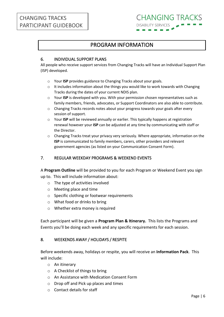# PROGRAM INFORMATION

## 6. INDIVIDUAL SUPPORT PLANS

All people who receive support services from Changing Tracks will have an Individual Support Plan (ISP) developed.

- o Your **ISP** provides guidance to Changing Tracks about your goals.
- o It includes information about the things you would like to work towards with Changing Tracks during the dates of your current NDIS plan.
- o Your **ISP** is developed with you. With your permission chosen representatives such as family members, friends, advocates, or Support Coordinators are also able to contribute.
- $\circ$  Changing Tracks records notes about your progress towards your goals after every session of support.
- o Your **ISP** will be reviewed annually or earlier. This typically happens at registration renewal however your **ISP** can be adjusted at any time by communicating with staff or the Director.
- o Changing Tracks treat your privacy very seriously. Where appropriate, information on the **ISP** is communicated to family members, carers, other providers and relevant government agencies (as listed on your Communication Consent Form).

## 7. REGULAR WEEKDAY PROGRAMS & WEEKEND EVENTS

A **Program Outline** will be provided to you for each Program or Weekend Event you sign up to. This will include information about:

- o The type of activities involved
- o Meeting place and time
- o Specific clothing or footwear requirements
- o What food or drinks to bring
- o Whether extra money is required

Each participant will be given a **Program Plan & Itinerary.** This lists the Programs and Events you'll be doing each week and any specific requirements for each session.

#### 8. WEEKENDS AWAY / HOLIDAYS / RESPITE

Before weekends away, holidays or respite, you will receive an **Information Pack**. This will include:

- o An itinerary
- o A Checklist of things to bring
- o An Assistance with Medication Consent Form
- o Drop off and Pick up places and times
- o Contact details for staff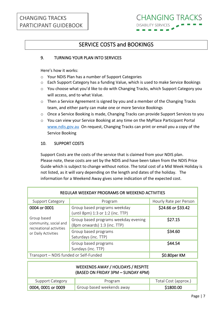# SERVICE COSTS and BOOKINGS

#### 9. TURNING YOUR PLAN INTO SERVICES

Here's how it works:

- o Your NDIS Plan has a number of Support Categories
- o Each Support Category has a funding Value, which is used to make Service Bookings
- o You choose what you'd like to do with Changing Tracks, which Support Category you will access, and to what Value.
- o Then a Service Agreement is signed by you and a member of the Changing Tracks team, and either party can make one or more Service Bookings
- o Once a Service Booking is made, Changing Tracks can provide Support Services to you
- o You can view your Service Booking at any time on the MyPlace Participant Portal [www.ndis.gov.au](http://www.ndis.gov.au/) On request, Changing Tracks can print or email you a copy of the Service Booking

#### 10. SUPPORT COSTS

Support Costs are the costs of the service that is claimed from your NDIS plan. Please note, these costs are set by the NDIS and have been taken from the NDIS Price Guide which is subject to change without notice. The total cost of a Mid Week Holiday is not listed, as it will vary depending on the length and dates of the holiday. The information for a Weekend Away gives some indication of the expected cost.

| REGULAR WEEKDAY PROGRAMS OR WEEKEND ACTIVITIES                  |                                                                      |                        |  |  |  |  |
|-----------------------------------------------------------------|----------------------------------------------------------------------|------------------------|--|--|--|--|
| <b>Support Category</b>                                         | Program                                                              | Hourly Rate per Person |  |  |  |  |
| 0004 or 0001                                                    | Group based programs weekday<br>(until 8pm) 1:3 or 1:2 (inc. TTP)    | \$24.66 or \$33.42     |  |  |  |  |
| Group based<br>community, social and<br>recreational activities | Group based programs weekday evening<br>(8pm onwards) 1:3 (inc. TTP) | \$27.15                |  |  |  |  |
| or Daily Activities                                             | Group based programs<br>Saturdays (inc. TTP)                         | \$34.60                |  |  |  |  |
|                                                                 | Group based programs<br>Sundays (inc. TTP)                           | \$44.54                |  |  |  |  |
| Transport - NDIS funded or Self-Funded                          | \$0.80per KM                                                         |                        |  |  |  |  |
|                                                                 |                                                                      |                        |  |  |  |  |

|                    | WEEKENDS AWAY / HOLIDAYS / RESPITE<br>(BASED ON FRIDAY 3PM - SUNDAY 4PM) |                      |
|--------------------|--------------------------------------------------------------------------|----------------------|
| Support Category   | Program                                                                  | Total Cost (approx.) |
| 0004, 0001 or 0009 | Group based weekends away                                                | \$1800.00            |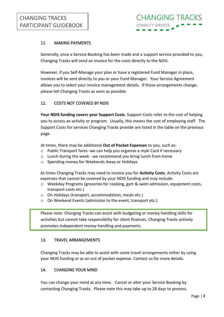## 11. MAKING PAYMENTS

Generally, once a Service Booking has been made and a support service provided to you, Changing Tracks will send an invoice for the costs directly to the NDIS.

However, if you Self-Manage your plan or have a registered Fund Manager in place, invoices will be sent directly to you or your Fund Manager. Your Service Agreement allows you to select your invoice management details. If these arrangements change, please tell Changing Tracks as soon as possible.

### 12. COSTS NOT COVERED BY NDIS

**Your NDIS funding covers your Support Costs**. Support Costs refer to the cost of helping you to access an activity or program. Usually, this means the cost of employing staff. The Support Costs for services Changing Tracks provide are listed in the table on the previous page.

At times, there may be additional **Out of Pocket Expenses** to you, such as:

- $\circ$  Public Transport fares -we can help you organise a myki Card if necessary
- o Lunch during the week we recommend you bring lunch from home
- o Spending money for Weekends Away or Holidays

At times Changing Tracks may need to invoice you for **Activity Costs**. Activity Costs are expenses that cannot be covered by your NDIS funding and may include:

- $\circ$  Weekday Programs (groceries for cooking, gym & swim admission, equipment costs, transport costs etc.)
- o On Holidays (transport, accommodation, meals etc.)
- o On Weekend Events (admission to the event, transport etc.)

Please note: Changing Tracks can assist with budgeting or money handling skills for activities but cannot take responsibility for client finances. Changing Tracks actively promotes independent money handling and payments.

#### 13. TRAVEL ARRANGEMENTS

Changing Tracks may be able to assist with some travel arrangements either by using your NDIS funding or as an out of pocket expense. Contact us for more details.

### 14. CHANGING YOUR MIND

You can change your mind at any time. Cancel or alter your Service Booking by contacting Changing Tracks. Please note this may take up to 28 days to process.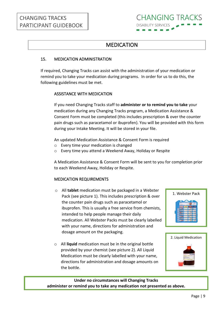# MEDICATION

## 15. MEDICATION ADMINISTRATION

If required, Changing Tracks can assist with the administration of your medication or remind you to take your medication during programs. In order for us to do this, the following guidelines must be met.

### ASSISTANCE WITH MEDICATION

If you need Changing Tracks staff to **administer or to remind you to take** your medication during any Changing Tracks program, a Medication Assistance & Consent Form must be completed (this includes prescription & over the counter pain drugs such as paracetamol or ibuprofen). You will be provided with this form during your Intake Meeting. It will be stored in your file.

An updated Medication Assistance & Consent Form is required

- o Every time your medication is changed
- o Every time you attend a Weekend Away, Holiday or Respite

A Medication Assistance & Consent Form will be sent to you for completion prior to each Weekend Away, Holiday or Respite.

## MEDICATION REQUIREMENTS

- o All **tablet** medication must be packaged in a Webster Pack (see picture 1). This includes prescription & over the counter pain drugs such as paracetamol or ibuprofen. This is usually a free service from chemists, intended to help people manage their daily medication. All Webster Packs must be clearly labelled with your name, directions for administration and dosage amount on the packaging.
- o All **liquid** medication must be in the original bottle provided by your chemist (see picture 2). All Liquid Medication must be clearly labelled with your name, directions for administration and dosage amounts on the bottle.





### **Under no circumstances will Changing Tracks administer or remind you to take any medication not presented as above.**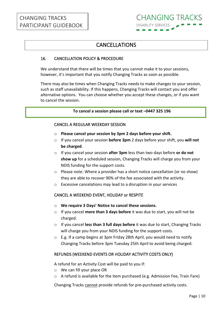# CANCELLATIONS

### 16. CANCELLATION POLICY & PROCEDURE

We understand that there will be times that you cannot make it to your sessions, however, it's important that you notify Changing Tracks as soon as possible.

There may also be times when Changing Tracks needs to make changes to your session, such as staff unavailability. If this happens, Changing Tracks will contact you and offer alternative options. You can choose whether you accept these changes, or if you want to cancel the session.

#### **To cancel a session please call or text –0447 325 196**

#### CANCEL A REGULAR WEEKDAY SESSION

- o **Please cancel your session by 3pm 2 days before your shift.**
- o If you cancel your session **before 3pm** 2 days before your shift, you **will not be charged**.
- o If you cancel your session **after 3pm** less than two days before **or do not show up** for a scheduled session, Changing Tracks will charge you from your NDIS funding for the support costs.
- $\circ$  Please note: Where a provider has a short notice cancellation (or no show) they are able to recover 90% of the fee associated with the activity.
- o Excessive cancelations may lead to a disruption in your services

#### CANCEL A WEEKEND EVENT, HOLIDAY or RESPITE

- o **We require 3 Days' Notice to cancel these sessions.**
- o If you cancel **more than 3 days before** it was due to start, you will not be charged.
- o If you cancel **less than 3 full days before** it was due to start, Changing Tracks will charge you from your NDIS funding for the support costs.
- o E.g. If a camp begins at 3pm Friday 28th April, you would need to notify Changing Tracks before 3pm Tuesday 25th April to avoid being charged.

#### REFUNDS (WEEKEND EVENTS OR HOLIDAY ACTIVITY COSTS ONLY)

A refund for an Activity Cost will be paid to you if:

- o We can fill your place OR
- o A refund is available for the item purchased (e.g. Admission Fee, Train Fare)

Changing Tracks cannot provide refunds for pre-purchased activity costs.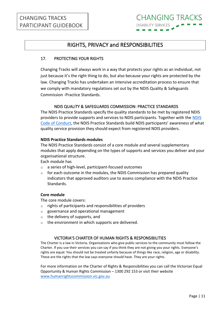# RIGHTS, PRIVACY and RESPONSIBILITIES

## 17. PROTECTING YOUR RIGHTS

Changing Tracks will always work in a way that protects your rights as an individual, not just because it's the right thing to do, but also because your rights are protected by the law. Changing Tracks has undertaken an intensive accreditation process to ensure that we comply with mandatory regulations set out by the NDIS Quality & Safeguards Commission -Practice Standards.

#### NDIS QUALITY & SAFEGUARDS COMMISSION: PRACTICE STANDARDS

The NDIS Practice Standards specify the quality standards to be met by registered NDIS providers to provide supports and services to NDIS participants. Together with the [NDIS](https://www.ndiscommission.gov.au/providers/ndis-code-conduct)  [Code of Conduct](https://www.ndiscommission.gov.au/providers/ndis-code-conduct), the NDIS Practice Standards build NDIS participants' awareness of what quality service provision they should expect from registered NDIS providers.

#### **NDIS Practice Standards modules**

The NDIS Practice Standards consist of a core module and several supplementary modules that apply depending on the types of supports and services you deliver and your organisational structure.

Each module has

- o a series of high-level, participant-focused outcomes
- o for each outcome in the modules, the NDIS Commission has prepared quality indicators that approved auditors use to assess compliance with the NDIS Practice Standards.

#### **Core module**

The core module covers:

- o rights of participants and responsibilities of providers
- o governance and operational management
- $\circ$  the delivery of supports, and
- o the environment in which supports are delivered.

#### VICTORIA'S CHARTER OF HUMAN RIGHTS & RESPONSIBILITIES

The Charter is a law in Victoria**.** Organisations who give public services to the community must follow the Charter. If you use their services you can say if you think they are not giving you your rights. Everyone's rights are equal. You should not be treated unfairly because of things like race, religion, age or disability. These are the rights that the law says everyone should have. They are your rights.

For more information on the Charter of Rights & Responsibilities you can call the Victorian Equal Opportunity & Human Rights Commission – 1300 292 153 or visit their website [www.humanrightscommission.vic.gov.au](http://www.humanrightscommission.vic.gov.au/)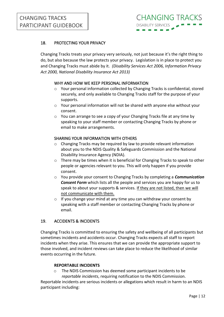## 18. PROTECTING YOUR PRIVACY

Changing Tracks treats your privacy very seriously, not just because it's the right thing to do, but also because the law protects your privacy. Legislation is in place to protect you and Changing Tracks must abide by it. *(Disability Services Act 2006, Information Privacy Act 2000, National Disability Insurance Act 2013)*

#### WHY AND HOW WE KEEP PERSONAL INFORMATION

- $\circ$  Your personal information collected by Changing Tracks is confidential, stored securely, and only available to Changing Tracks staff for the purpose of your supports.
- $\circ$  Your personal information will not be shared with anyone else without your consent.
- o You can arrange to see a copy of your Changing Tracks file at any time by speaking to your staff member or contacting Changing Tracks by phone or email to make arrangements.

#### SHARING YOUR INFORMATION WITH OTHERS

- o Changing Tracks may be required by law to provide relevant information about you to the NDIS Quality & Safeguards Commission and the National Disability Insurance Agency (NDIA).
- $\circ$  There may be times when it is beneficial for Changing Tracks to speak to other people or agencies relevant to you. This will only happen if you provide consent.
- o You provide your consent to Changing Tracks by completing a *Communication Consent Form* which lists all the people and services you are happy for us to speak to about your supports & services. If they are not listed, then we will not communicate with them.
- o If you change your mind at any time you can withdraw your consent by speaking with a staff member or contacting Changing Tracks by phone or email.

#### 19. ACCIDENTS & INCIDENTS

Changing Tracks is committed to ensuring the safety and wellbeing of all participants but sometimes incidents and accidents occur. Changing Tracks expects all staff to report incidents when they arise. This ensures that we can provide the appropriate support to those involved, and incident reviews can take place to reduce the likelihood of similar events occurring in the future.

#### **REPORTABLE INCIDENTS**

o The NDIS Commission has deemed some participant incidents to be *reportable incidents*, requiring notification to the NDIS Commission.

Reportable incidents are serious incidents or allegations which result in harm to an NDIS participant including: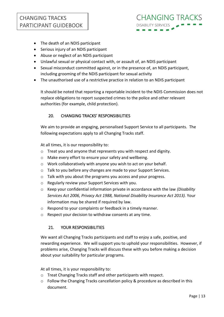

- The death of an NDIS participant
- Serious injury of an NDIS participant
- Abuse or neglect of an NDIS participant
- Unlawful sexual or physical contact with, or assault of, an NDIS participant
- Sexual misconduct committed against, or in the presence of, an NDIS participant, including grooming of the NDIS participant for sexual activity
- The unauthorised use of a restrictive practice in relation to an NDIS participant

It should be noted that reporting a reportable incident to the NDIS Commission does not replace obligations to report suspected crimes to the police and other relevant authorities (for example, child protection).

#### 20. CHANGING TRACKS' RESPONSIBILITIES

We aim to provide an engaging, personalised Support Service to all participants. The following expectations apply to all Changing Tracks staff.

At all times, it is our responsibility to:

- o Treat you and anyone that represents you with respect and dignity.
- o Make every effort to ensure your safety and wellbeing.
- o Work collaboratively with anyone you wish to act on your behalf.
- o Talk to you before any changes are made to your Support Services.
- o Talk with you about the programs you access and your progress.
- o Regularly review your Support Services with you.
- o Keep your confidential information private in accordance with the law *(Disability Services Act 2006, Privacy Act 1988, National Disability Insurance Act 2013).* Your information may be shared if required by law.
- o Respond to your complaints or feedback in a timely manner.
- o Respect your decision to withdraw consents at any time.

#### 21. YOUR RESPONSIBILITIES

We want all Changing Tracks participants and staff to enjoy a safe, positive, and rewarding experience. We will support you to uphold your responsibilities. However, if problems arise, Changing Tracks will discuss these with you before making a decision about your suitability for particular programs.

At all times, it is your responsibility to:

- o Treat Changing Tracks staff and other participants with respect.
- o Follow the Changing Tracks cancellation policy & procedure as described in this document.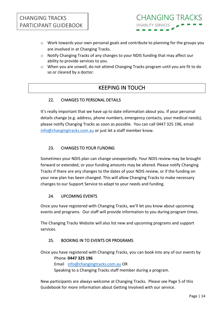

- o Work towards your own personal goals and contribute to planning for the groups you are involved in at Changing Tracks.
- o Notify Changing Tracks of any changes to your NDIS funding that may affect our ability to provide services to you.
- o When you are unwell, do not attend Changing Tracks program until you are fit to do so or cleared by a doctor.

# KEEPING IN TOUCH

## 22. CHANGES TO PERSONAL DETAILS

It's really important that we have up to date information about you. If your personal details change (e.g. address, phone numbers, emergency contacts, your medical needs), please notify Changing Tracks as soon as possible. You can call 0447 325 196, email [info@changingtracks.com.au](mailto:info@changingtracks.com.au) or just let a staff member know.

## 23. CHANGES TO YOUR FUNDING

Sometimes your NDIS plan can change unexpectedly. Your NDIS review may be brought forward or extended, or your funding amounts may be altered. Please notify Changing Tracks if there are any changes to the dates of your NDIS review, or if the funding on your new plan has been changed. This will allow Changing Tracks to make necessary changes to our Support Service to adapt to your needs and funding.

#### 24. UPCOMING EVENTS

Once you have registered with Changing Tracks, we'll let you know about upcoming events and programs. Our staff will provide information to you during program times.

The Changing Tracks Website will also list new and upcoming programs and support services.

## 25. BOOKING IN TO EVENTS OR PROGRAMS

Once you have registered with Changing Tracks, you can book into any of our events by Phone **0447 325 196**  Email [info@changingtracks.com.au](mailto:info@changingtracks.com.au) OR Speaking to a Changing Tracks staff member during a program.

New participants are always welcome at Changing Tracks. Please see Page 5 of this Guidebook for more information about Getting Involved with our service.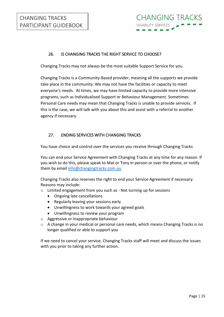## 26. IS CHANGING TRACKS THE RIGHT SERVICE TO CHOOSE?

Changing Tracks may not always be the most suitable Support Service for you.

Changing Tracks is a Community-Based provider, meaning all the supports we provide take place in the community. We may not have the facilities or capacity to meet everyone's needs. At times, we may have limited capacity to provide more intensive programs, such as Individualised Support or Behaviour Management. Sometimes Personal Care needs may mean that Changing Tracks is unable to provide services. If this is the case, we will talk with you about this and assist with a referral to another agency if necessary.

#### 27. ENDING SERVICES WITH CHANGING TRACKS

You have choice and control over the services you receive through Changing Tracks

You can end your Service Agreement with Changing Tracks at any time for any reason. If you wish to do this, please speak to Mat or Tony in person or over the phone, or notify them by email [info@changingtracks.com.au](mailto:info@changingtracks.com.au)

Changing Tracks also reserves the right to end your Service Agreement if necessary. Reasons may include:

- o Limited engagement from you such as Not turning up for sessions
	- Ongoing late cancellations
	- Regularly leaving your sessions early
	- Unwillingness to work towards your agreed goals
	- Unwillingness to review your program
- o Aggressive or inappropriate behaviour
- o A change in your medical or personal care needs, which means Changing Tracks is no longer qualified or able to support you

If we need to cancel your service, Changing Tracks staff will meet and discuss the issues with you prior to taking any further action.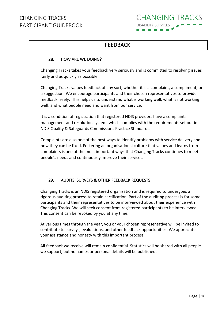

# FEEDBACK

#### 28. HOW ARE WE DOING?

Changing Tracks takes your feedback very seriously and is committed to resolving issues fairly and as quickly as possible.

Changing Tracks values feedback of any sort, whether it is a complaint, a compliment, or a suggestion. We encourage participants and their chosen representatives to provide feedback freely. This helps us to understand what is working well, what is not working well, and what people need and want from our service.

It is a condition of registration that registered NDIS providers have a complaints management and resolution system, which complies with the requirements set out in NDIS Quality & Safeguards Commissions Practice Standards.

Complaints are also one of the best ways to identify problems with service delivery and how they can be fixed. Fostering an organisational culture that values and learns from complaints is one of the most important ways that Changing Tracks continues to meet people's needs and continuously improve their services.

## 29. AUDITS, SURVEYS & OTHER FEEDBACK REQUESTS

Changing Tracks is an NDIS registered organisation and is required to undergoes a rigorous auditing process to retain certification. Part of the auditing process is for some participants and their representatives to be interviewed about their experience with Changing Tracks. We will seek consent from registered participants to be interviewed. This consent can be revoked by you at any time.

At various times through the year, you or your chosen representative will be invited to contribute to surveys, evaluations, and other feedback opportunities. We appreciate your assistance and honesty with this important process.

All feedback we receive will remain confidential. Statistics will be shared with all people we support, but no names or personal details will be published.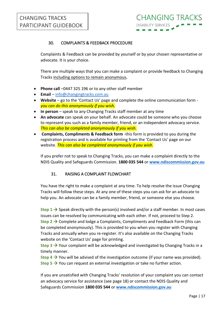### 30. COMPLAINTS & FEEDBACK PROCEDURE

Complaints & Feedback can be provided by yourself or by your chosen representative or advocate. It is your choice.

There are multiple ways that you can make a complaint or provide feedback to Changing Tracks including options to remain anonymous**.**

- **Phone call** –0447 325 196 or to any other staff member
- **Email** [info@changingtracks.com.au](mailto:info@changingtracks.com.au)
- **Website** go to the 'Contact Us' page and complete the online communication form *you can do this anonymously if you wish.*
- **In person** speak to any Changing Tracks staff member at any time
- **An advocate** can speak on your behalf. An advocate could be someone who you choose to represent you such as a family member, friend, or an independent advocacy service. *This can also be completed anonymously if you wish.*
- **Complaints, Compliments & Feedback form** -this form is provided to you during the registration process and is available for printing from the 'Contact Us' page on our website. *This can also be completed anonymously if you wish.*

If you prefer not to speak to Changing Tracks, you can make a complaint directly to the NDIS Quality and Safeguards Commission. **1800 035 544** or **[www.ndiscommission.gov.au](http://www.ndiscommission.gov.au/)**

#### 31. RAISING A COMPLAINT FLOWCHART

You have the right to make a complaint at any time. To help resolve the issue Changing Tracks will follow these steps. At any one of these steps you can ask for an advocate to help you. An advocate can be a family member, friend, or someone else you choose.

Step 1 → Speak directly with the person(s) involved and/or a staff member. In most cases issues can be resolved by communicating with each other. If not, proceed to Step 2. **Step 2 → Complete and lodge a Complaints, Compliments and Feedback Form (this can** be completed anonymously). This is provided to you when you register with Changing Tracks and annually when you re-register. It's also available on the Changing Tracks website on the 'Contact Us' page for printing.

Step 3 → Your complaint will be acknowledged and investigated by Changing Tracks in a timely manner.

**Step 4**  $\rightarrow$  **You will be advised of the investigation outcome (if your name was provided). Step 5 → You can request an external investigation or take no further action.** 

If you are unsatisfied with Changing Tracks' resolution of your complaint you can contact an advocacy service for assistance (see page 18) or contact the NDIS Quality and Safeguards Commission **1800 035 544** or **[www.ndiscommission.gov.au](http://www.ndiscommission.gov.au/)**